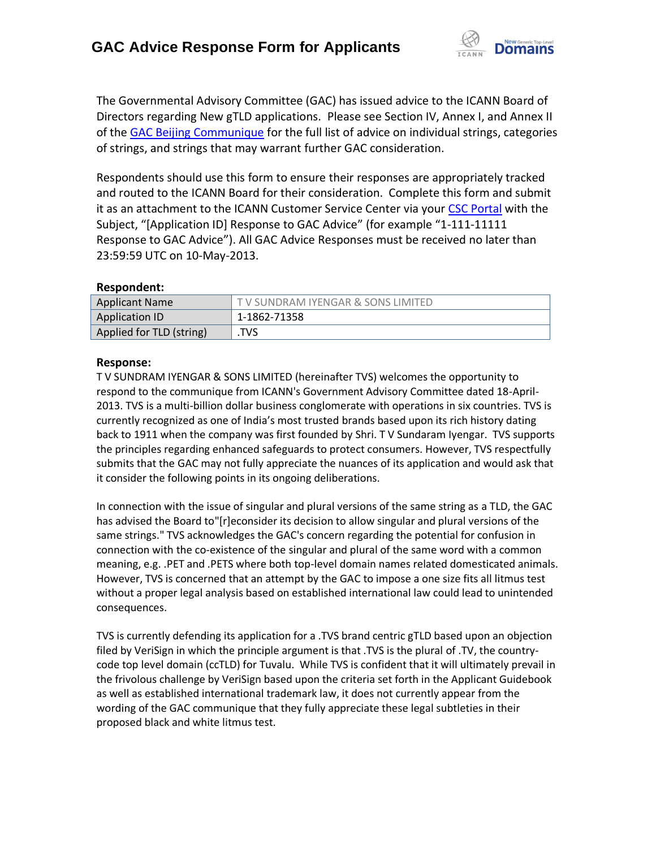

The Governmental Advisory Committee (GAC) has issued advice to the ICANN Board of Directors regarding New gTLD applications. Please see Section IV, Annex I, and Annex II of the [GAC Beijing Communique](http://www.icann.org/en/news/correspondence/gac-to-board-18apr13-en.pdf) for the full list of advice on individual strings, categories of strings, and strings that may warrant further GAC consideration.

Respondents should use this form to ensure their responses are appropriately tracked and routed to the ICANN Board for their consideration. Complete this form and submit it as an attachment to the ICANN Customer Service Center via your CSC [Portal](https://myicann.secure.force.com/) with the Subject, "[Application ID] Response to GAC Advice" (for example "1-111-11111 Response to GAC Advice"). All GAC Advice Responses must be received no later than 23:59:59 UTC on 10-May-2013.

## **Respondent:**

| <b>Applicant Name</b>    | TV SUNDRAM IYENGAR & SONS LIMITED |
|--------------------------|-----------------------------------|
| Application ID           | 1-1862-71358                      |
| Applied for TLD (string) | TVS                               |

## **Response:**

T V SUNDRAM IYENGAR & SONS LIMITED (hereinafter TVS) welcomes the opportunity to respond to the communique from ICANN's Government Advisory Committee dated 18-April-2013. TVS is a multi-billion dollar business conglomerate with operations in six countries. TVS is currently recognized as one of India's most trusted brands based upon its rich history dating back to 1911 when the company was first founded by Shri. T V Sundaram Iyengar. TVS supports the principles regarding enhanced safeguards to protect consumers. However, TVS respectfully submits that the GAC may not fully appreciate the nuances of its application and would ask that it consider the following points in its ongoing deliberations.

In connection with the issue of singular and plural versions of the same string as a TLD, the GAC has advised the Board to"[r]econsider its decision to allow singular and plural versions of the same strings." TVS acknowledges the GAC's concern regarding the potential for confusion in connection with the co-existence of the singular and plural of the same word with a common meaning, e.g. .PET and .PETS where both top-level domain names related domesticated animals. However, TVS is concerned that an attempt by the GAC to impose a one size fits all litmus test without a proper legal analysis based on established international law could lead to unintended consequences.

TVS is currently defending its application for a .TVS brand centric gTLD based upon an objection filed by VeriSign in which the principle argument is that .TVS is the plural of .TV, the countrycode top level domain (ccTLD) for Tuvalu. While TVS is confident that it will ultimately prevail in the frivolous challenge by VeriSign based upon the criteria set forth in the Applicant Guidebook as well as established international trademark law, it does not currently appear from the wording of the GAC communique that they fully appreciate these legal subtleties in their proposed black and white litmus test.